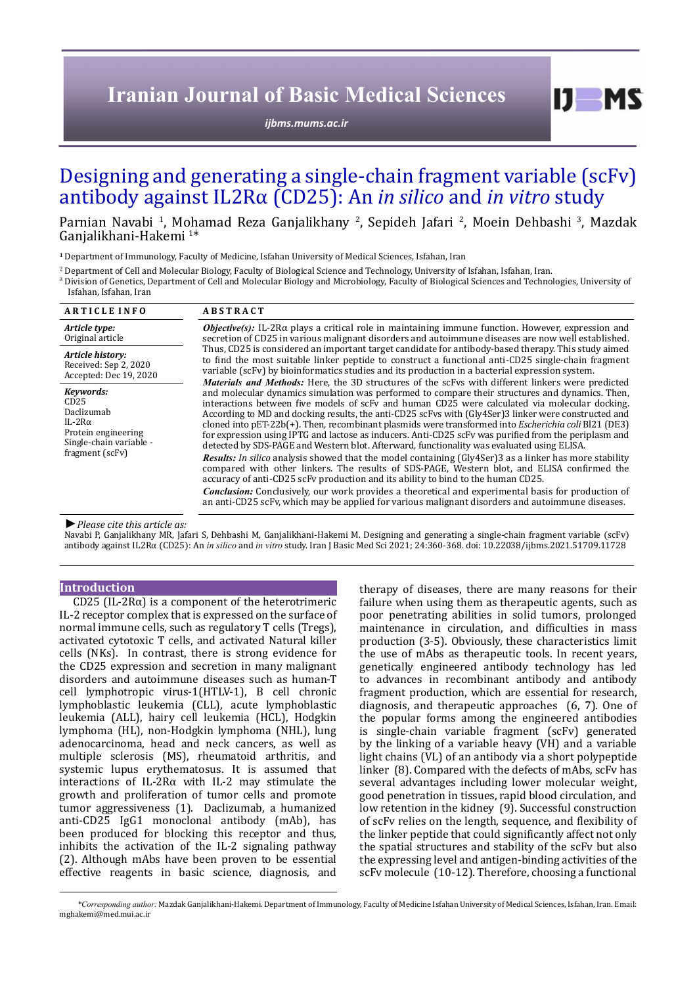# **Iranian Journal of Basic Medical Sciences**

*[ijbms.mums.ac.ir](http://ijbms.mums.ac.ir)*

## Designing and generating a single-chain fragment variable (scFv) antibody against IL2Rα (CD25): An *in silico* and *in vitro* study

Parnian Navabi <sup>1</sup>, Mohamad Reza Ganjalikhany <sup>2</sup>, Sepideh Jafari <sup>2</sup>, Moein Dehbashi <sup>3</sup>, Mazdak Ganjalikhani-Hakemi 1 \*

**<sup>1</sup>** Department of Immunology, Faculty of Medicine, Isfahan University of Medical Sciences, Isfahan, Iran

2 Department of Cell and Molecular Biology, Faculty of Biological Science and Technology, University of Isfahan, Isfahan, Iran.

3 Division of Genetics, Department of Cell and Molecular Biology and Microbiology, Faculty of Biological Sciences and Technologies, University of Isfahan, Isfahan, Iran

| <b>ARTICLE INFO</b>                                                                                                    | <b>ABSTRACT</b>                                                                                                                                                                                                                                                                                                                                                                                                                                                                                                                                                                                                                                                                                                                                                                                                                                                                                                                                                                                                                                                                                                                                                                                                                                                                                                                                                                                                                                                                                                                                                                                                                                                                                                                                                                                                    |
|------------------------------------------------------------------------------------------------------------------------|--------------------------------------------------------------------------------------------------------------------------------------------------------------------------------------------------------------------------------------------------------------------------------------------------------------------------------------------------------------------------------------------------------------------------------------------------------------------------------------------------------------------------------------------------------------------------------------------------------------------------------------------------------------------------------------------------------------------------------------------------------------------------------------------------------------------------------------------------------------------------------------------------------------------------------------------------------------------------------------------------------------------------------------------------------------------------------------------------------------------------------------------------------------------------------------------------------------------------------------------------------------------------------------------------------------------------------------------------------------------------------------------------------------------------------------------------------------------------------------------------------------------------------------------------------------------------------------------------------------------------------------------------------------------------------------------------------------------------------------------------------------------------------------------------------------------|
| Article type:<br>Original article                                                                                      | <b><i>Objective(s)</i></b> : IL-2R $\alpha$ plays a critical role in maintaining immune function. However, expression and<br>secretion of CD25 in various malignant disorders and autoimmune diseases are now well established.<br>Thus, CD25 is considered an important target candidate for antibody-based therapy. This study aimed<br>to find the most suitable linker peptide to construct a functional anti-CD25 single-chain fragment<br>variable (scFv) by bioinformatics studies and its production in a bacterial expression system.<br><b>Materials and Methods:</b> Here, the 3D structures of the scFvs with different linkers were predicted<br>and molecular dynamics simulation was performed to compare their structures and dynamics. Then,<br>interactions between five models of scFv and human CD25 were calculated via molecular docking.<br>According to MD and docking results, the anti-CD25 scFvs with (Gly4Ser)3 linker were constructed and<br>cloned into pET-22b(+). Then, recombinant plasmids were transformed into <i>Escherichia coli</i> Bl21 (DE3)<br>for expression using IPTG and lactose as inducers. Anti-CD25 scFv was purified from the periplasm and<br>detected by SDS-PAGE and Western blot. Afterward, functionality was evaluated using ELISA.<br><b>Results:</b> In silico analysis showed that the model containing (Gly4Ser)3 as a linker has more stability<br>compared with other linkers. The results of SDS-PAGE, Western blot, and ELISA confirmed the<br>accuracy of anti-CD25 scFv production and its ability to bind to the human CD25.<br><b>Conclusion:</b> Conclusively, our work provides a theoretical and experimental basis for production of<br>an anti-CD25 scFv, which may be applied for various malignant disorders and autoimmune diseases. |
| Article history:<br>Received: Sep 2, 2020<br>Accepted: Dec 19, 2020                                                    |                                                                                                                                                                                                                                                                                                                                                                                                                                                                                                                                                                                                                                                                                                                                                                                                                                                                                                                                                                                                                                                                                                                                                                                                                                                                                                                                                                                                                                                                                                                                                                                                                                                                                                                                                                                                                    |
| Kevwords:<br>CD25<br>Daclizumab<br>IL-2 $R\alpha$<br>Protein engineering<br>Single-chain variable -<br>fragment (scFv) |                                                                                                                                                                                                                                                                                                                                                                                                                                                                                                                                                                                                                                                                                                                                                                                                                                                                                                                                                                                                                                                                                                                                                                                                                                                                                                                                                                                                                                                                                                                                                                                                                                                                                                                                                                                                                    |

#### *►Please cite this article as:*

Navabi P, Ganjalikhany MR, Jafari S, Dehbashi M, Ganjalikhani-Hakemi M. Designing and generating a single-chain fragment variable (scFv) antibody against IL2Rα (CD25): An *in silico* and *in vitro* study. Iran J Basic Med Sci 2021; 24:360-368. doi: 10.22038/ijbms.2021.51709.11728

## **Introduction**

CD25 (IL-2Rα) is a component of the heterotrimeric IL-2 receptor complex that is expressed on the surface of normal immune cells, such as regulatory T cells (Tregs), activated cytotoxic T cells, and activated Natural killer cells (NKs). In contrast, there is strong evidence for the CD25 expression and secretion in many malignant disorders and autoimmune diseases such as human-T cell lymphotropic virus-1(HTLV-1), B cell chronic lymphoblastic leukemia (CLL), acute lymphoblastic leukemia (ALL), hairy cell leukemia (HCL), Hodgkin lymphoma (HL), non-Hodgkin lymphoma (NHL), lung adenocarcinoma, head and neck cancers, as well as multiple sclerosis (MS), rheumatoid arthritis, and systemic lupus erythematosus. It is assumed that interactions of IL-2R $\alpha$  with IL-2 may stimulate the growth and proliferation of tumor cells and promote tumor aggressiveness (1). Daclizumab, a humanized anti-CD25 IgG1 monoclonal antibody (mAb), has been produced for blocking this receptor and thus, inhibits the activation of the IL-2 signaling pathway (2). Although mAbs have been proven to be essential effective reagents in basic science, diagnosis, and

therapy of diseases, there are many reasons for their failure when using them as therapeutic agents, such as poor penetrating abilities in solid tumors, prolonged maintenance in circulation, and difficulties in mass production (3-5). Obviously, these characteristics limit the use of mAbs as therapeutic tools. In recent years, genetically engineered antibody technology has led to advances in recombinant antibody and antibody fragment production, which are essential for research, diagnosis, and therapeutic approaches (6, 7). One of the popular forms among the engineered antibodies is single-chain variable fragment (scFv) generated by the linking of a variable heavy (VH) and a variable light chains (VL) of an antibody via a short polypeptide linker (8). Compared with the defects of mAbs, scFv has several advantages including lower molecular weight, good penetration in tissues, rapid blood circulation, and low retention in the kidney (9). Successful construction of scFv relies on the length, sequence, and flexibility of the linker peptide that could significantly affect not only the spatial structures and stability of the scFv but also the expressing level and antigen-binding activities of the scFv molecule (10-12). Therefore, choosing a functional

 $I$   $I$   $M$   $S$ 

*\*Corresponding author:* Mazdak Ganjalikhani-Hakemi. Department of Immunology, Faculty of Medicine Isfahan University of Medical Sciences, Isfahan, Iran. Email: mghakemi@med.mui.ac.ir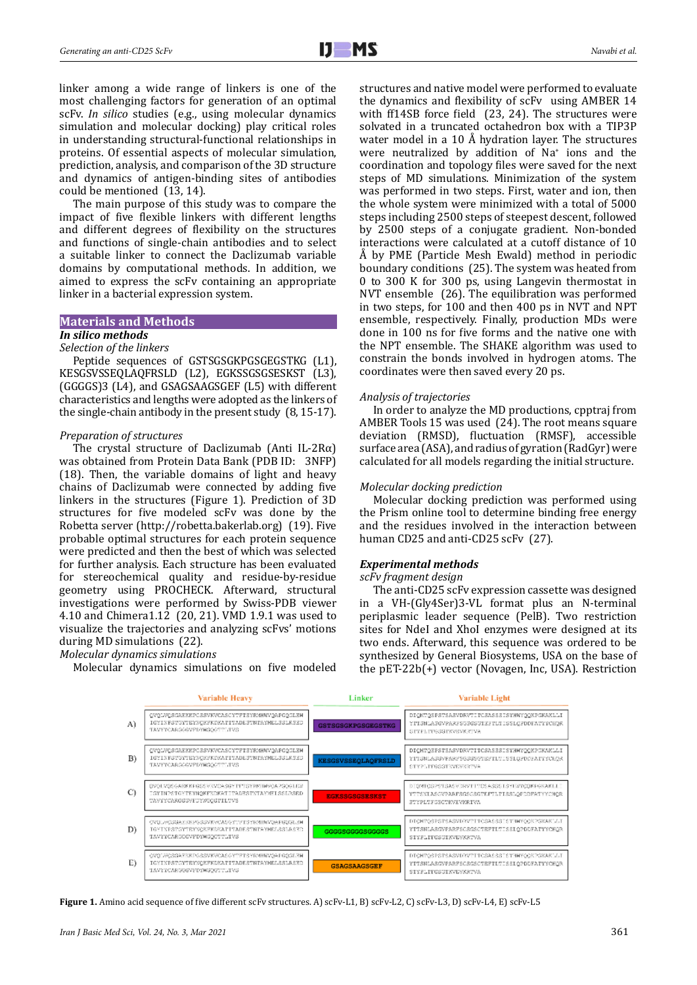linker among a wide range of linkers is one of the most challenging factors for generation of an optimal scFv. *In silico* studies (e.g., using molecular dynamics simulation and molecular docking) play critical roles in understanding structural-functional relationships in proteins. Of essential aspects of molecular simulation, prediction, analysis, and comparison of the 3D structure and dynamics of antigen-binding sites of antibodies could be mentioned (13, 14).

The main purpose of this study was to compare the impact of five flexible linkers with different lengths and different degrees of flexibility on the structures and functions of single-chain antibodies and to select a suitable linker to connect the Daclizumab variable domains by computational methods. In addition, we aimed to express the scFv containing an appropriate linker in a bacterial expression system.

## **Materials and Methods**

## *In silico methods*

*Selection of the linkers* Peptide sequences of GSTSGSGKPGSGEGSTKG (L1), KESGSVSSEQLAQFRSLD (L2), EGKSSGSGSESKST (L3), (GGGGS)3 (L4), and GSAGSAAGSGEF (L5) with different characteristics and lengths were adopted as the linkers of the single-chain antibody in the present study (8, 15-17).

#### *Preparation of structures*

The crystal structure of Daclizumab (Anti IL-2R $\alpha$ ) was obtained from Protein Data Bank (PDB ID: 3NFP) (18). Then, the variable domains of light and heavy chains of Daclizumab were connected by adding five linkers in the structures (Figure 1). Prediction of 3D structures for five modeled scFv was done by the Robetta server [\(http://robetta.bakerlab.org](http://robetta.bakerlab.org)) (19). Five probable optimal structures for each protein sequence were predicted and then the best of which was selected for further analysis. Each structure has been evaluated for stereochemical quality and residue-by-residue geometry using PROCHECK. Afterward, structural investigations were performed by Swiss-PDB viewer 4.10 and Chimera1.12 (20, 21). VMD 1.9.1 was used to visualize the trajectories and analyzing scFvs' motions during MD simulations (22).

*Molecular dynamics simulations*

Molecular dynamics simulations on five modeled

structures and native model were performed to evaluate the dynamics and flexibility of scFv using AMBER 14 with ff14SB force field (23, 24). The structures were solvated in a truncated octahedron box with a TIP3P water model in a 10 Å hydration layer. The structures were neutralized by addition of Na+ ions and the coordination and topology files were saved for the next steps of MD simulations. Minimization of the system was performed in two steps. First, water and ion, then the whole system were minimized with a total of 5000 steps including 2500 steps of steepest descent, followed by 2500 steps of a conjugate gradient. Non-bonded interactions were calculated at a cutoff distance of 10 Å by PME (Particle Mesh Ewald) method in periodic boundary conditions (25). The system was heated from 0 to 300 K for 300 ps, using Langevin thermostat in NVT ensemble (26). The equilibration was performed in two steps, for 100 and then 400 ps in NVT and NPT ensemble, respectively. Finally, production MDs were done in 100 ns for five forms and the native one with the NPT ensemble. The SHAKE algorithm was used to constrain the bonds involved in hydrogen atoms. The coordinates were then saved every 20 ps.

#### *Analysis of trajectories*

In order to analyze the MD productions, cpptraj from AMBER Tools 15 was used (24). The root means square deviation (RMSD), fluctuation (RMSF), accessible surface area (ASA), and radius of gyration (RadGyr) were calculated for all models regarding the initial structure.

#### *Molecular docking prediction*

Molecular docking prediction was performed using the Prism online tool to determine binding free energy and the residues involved in the interaction between human CD25 and anti-CD25 scFv (27).

#### *Experimental methods*

#### *scFv fragment design*

The anti-CD25 scFv expression cassette was designed in a VH-(Gly4Ser)3-VL format plus an N-terminal periplasmic leader sequence (PelB). Two restriction sites for NdeI and XhoI enzymes were designed at its two ends. Afterward, this sequence was ordered to be synthesized by General Biosystems, USA on the base of the pET-22b(+) vector (Novagen, Inc, USA). Restriction



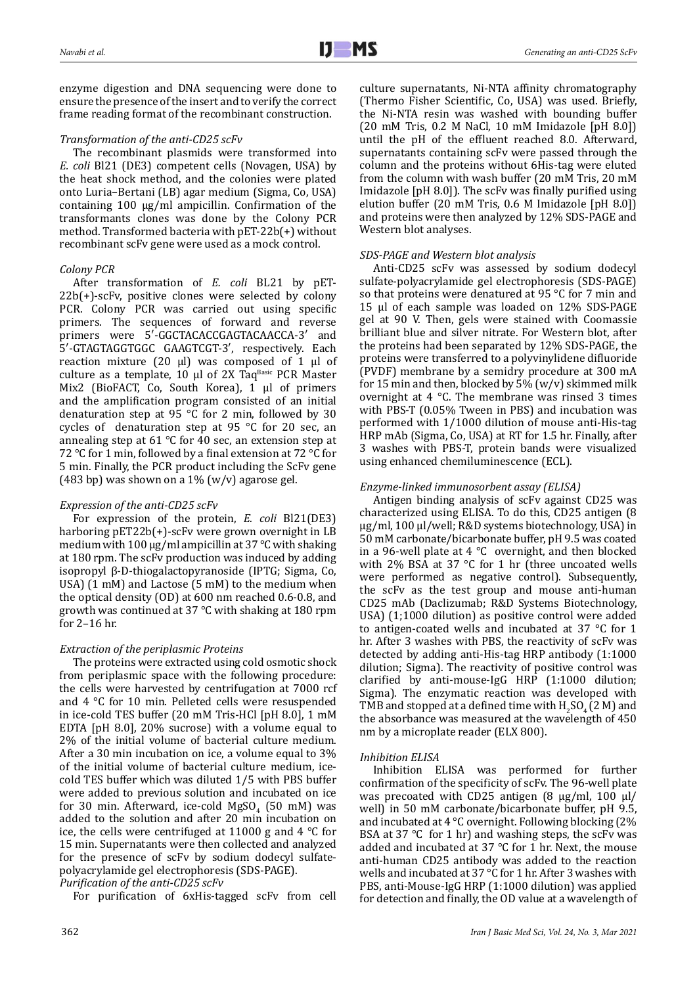enzyme digestion and DNA sequencing were done to ensure the presence of the insert and to verify the correct frame reading format of the recombinant construction.

## *Transformation of the anti-CD25 scFv*

The recombinant plasmids were transformed into *E. coli* Bl21 (DE3) competent cells (Novagen, USA) by the heat shock method, and the colonies were plated onto Luria–Bertani (LB) agar medium (Sigma, Co, USA) containing 100 μg/ml ampicillin. Confirmation of the transformants clones was done by the Colony PCR method. Transformed bacteria with pET-22b(+) without recombinant scFv gene were used as a mock control.

### *Colony PCR*

After transformation of *E. coli* BL21 by pET-22b(+)-scFv, positive clones were selected by colony PCR. Colony PCR was carried out using specific primers. The sequences of forward and reverse primers were 5′-GGCTACACCGAGTACAACCA-3′ and 5′-GTAGTAGGTGGC GAAGTCGT-3′, respectively. Each reaction mixture (20 μl) was composed of 1 µl of culture as a template,  $10 \mu l$  of  $2X$  Taq<sup>Basic</sup> PCR Master Mix2 (BioFACT, Co, South Korea), 1 µl of primers and the amplification program consisted of an initial denaturation step at 95 °C for 2 min, followed by 30 cycles of denaturation step at 95 °C for 20 sec, an annealing step at 61 °C for 40 sec, an extension step at 72 °C for 1 min, followed by a final extension at 72 °С for 5 min. Finally, the PCR product including the ScFv gene (483 bp) was shown on a  $1\%$  (w/v) agarose gel.

#### *Expression of the anti-CD25 scFv*

For expression of the protein, *E. coli* Bl21(DE3) harboring pET22b(+)-scFv were grown overnight in LB medium with 100 µg/ml ampicillin at 37 °C with shaking at 180 rpm. The scFv production was induced by adding isopropyl β-D-thiogalactopyranoside (IPTG; Sigma, Co, USA) (1 mM) and Lactose (5 mM) to the medium when the optical density (OD) at 600 nm reached 0.6-0.8, and growth was continued at 37 °C with shaking at 180 rpm for 2–16 hr.

## *Extraction of the periplasmic Proteins*

The proteins were extracted using cold osmotic shock from periplasmic space with the following procedure: the cells were harvested by centrifugation at 7000 rcf and 4 °C for 10 min. Pelleted cells were resuspended in ice-cold TES buffer (20 mM Tris-HCl [pH 8.0], 1 mM EDTA [pH 8.0], 20% sucrose) with a volume equal to 2% of the initial volume of bacterial culture medium. After a 30 min incubation on ice, a volume equal to 3% of the initial volume of bacterial culture medium, icecold TES buffer which was diluted 1/5 with PBS buffer were added to previous solution and incubated on ice for 30 min. Afterward, ice-cold  $MgSO_4$  (50 mM) was added to the solution and after 20 min incubation on ice, the cells were centrifuged at 11000 g and 4 °C for 15 min. Supernatants were then collected and analyzed for the presence of scFv by sodium dodecyl sulfatepolyacrylamide gel electrophoresis (SDS-PAGE).

*Purification of the anti-CD25 scFv*

For purification of 6xHis-tagged scFv from cell

culture supernatants, Ni-NTA affinity chromatography (Thermo Fisher Scientific, Co, USA) was used. Briefly, the Ni-NTA resin was washed with bounding buffer (20 mM Tris, 0.2 M NaCl, 10 mM Imidazole [pH 8.0]) until the pH of the effluent reached 8.0. Afterward, supernatants containing scFv were passed through the column and the proteins without 6His-tag were eluted from the column with wash buffer (20 mM Tris, 20 mM Imidazole [pH 8.0]). The scFv was finally purified using elution buffer (20 mM Tris, 0.6 M Imidazole [pH 8.0]) and proteins were then analyzed by 12% SDS-PAGE and Western blot analyses.

### *SDS-PAGE and Western blot analysis*

Anti-CD25 scFv was assessed by sodium dodecyl sulfate-polyacrylamide gel electrophoresis (SDS-PAGE) so that proteins were denatured at 95 °C for 7 min and 15 µl of each sample was loaded on 12% SDS-PAGE gel at 90 V. Then, gels were stained with Coomassie brilliant blue and silver nitrate. For Western blot, after the proteins had been separated by 12% SDS-PAGE, the proteins were transferred to a polyvinylidene difluoride (PVDF) membrane by a semidry procedure at 300 mA for 15 min and then, blocked by  $5\%$  (w/v) skimmed milk overnight at 4 °C. The membrane was rinsed 3 times with PBS-T (0.05% Tween in PBS) and incubation was performed with 1/1000 dilution of mouse anti-His-tag HRP mAb (Sigma, Co, USA) at RT for 1.5 hr. Finally, after 3 washes with PBS-T, protein bands were visualized using enhanced chemiluminescence (ECL).

## *Enzyme-linked immunosorbent assay (ELISA)*

Antigen binding analysis of scFv against CD25 was characterized using ELISA. To do this, CD25 antigen (8 μg/ml, 100 μl/well; R&D systems biotechnology, USA) in 50 mM carbonate/bicarbonate buffer, pH 9.5 was coated in a 96-well plate at  $4^{\circ}$ C overnight, and then blocked with 2% BSA at 37 °C for 1 hr (three uncoated wells were performed as negative control). Subsequently, the scFv as the test group and mouse anti-human CD25 mAb (Daclizumab; R&D Systems Biotechnology, USA) (1;1000 dilution) as positive control were added to antigen-coated wells and incubated at 37 °C for 1 hr. After 3 washes with PBS, the reactivity of scFv was detected by adding anti-His-tag HRP antibody (1:1000 dilution; Sigma). The reactivity of positive control was clarified by anti-mouse-IgG HRP (1:1000 dilution; Sigma). The enzymatic reaction was developed with TMB and stopped at a defined time with  $H_2SO_4$  (2 M) and the absorbance was measured at the wavelength of 450 nm by a microplate reader (ELX 800).

## *Inhibition ELISA*

Inhibition ELISA was performed for further confirmation of the specificity of scFv. The 96-well plate was precoated with CD25 antigen (8 μg/ml, 100 μl/ well) in 50 mM carbonate/bicarbonate buffer, pH 9.5, and incubated at 4 °C overnight. Following blocking (2% BSA at 37 °C for 1 hr) and washing steps, the scFv was added and incubated at 37 °C for 1 hr. Next, the mouse anti-human CD25 antibody was added to the reaction wells and incubated at 37 °C for 1 hr. After 3 washes with PBS, anti-Mouse-IgG HRP (1:1000 dilution) was applied for detection and finally, the OD value at a wavelength of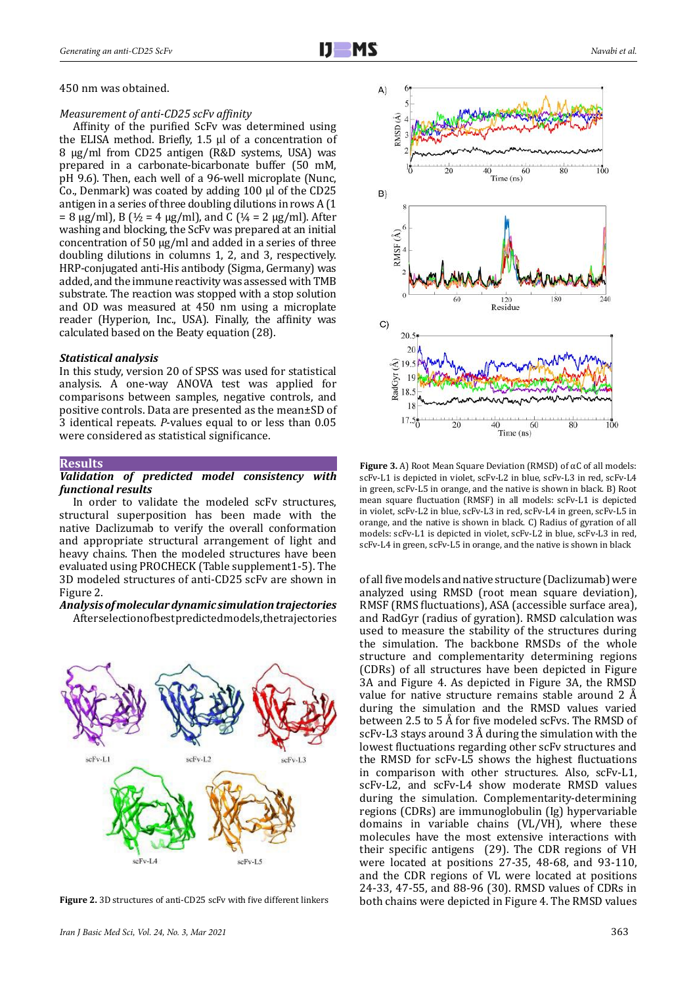450 nm was obtained.

#### *Measurement of anti-CD25 scFv affinity*

Affinity of the purified ScFv was determined using the ELISA method. Briefly, 1.5 µl of a concentration of 8 µg/ml from CD25 antigen (R&D systems, USA) was prepared in a carbonate-bicarbonate buffer (50 mM, pH 9.6). Then, each well of a 96-well microplate (Nunc, Co., Denmark) was coated by adding 100 µl of the CD25 antigen in a series of three doubling dilutions in rows A (1  $= 8 \mu g/ml$ , B (½ = 4  $\mu g/ml$ ), and C (¼ = 2  $\mu g/ml$ ). After washing and blocking, the ScFv was prepared at an initial concentration of 50 µg/ml and added in a series of three doubling dilutions in columns 1, 2, and 3, respectively. HRP-conjugated anti-His antibody (Sigma, Germany) was added, and the immune reactivity was assessed with TMB substrate. The reaction was stopped with a stop solution and OD was measured at 450 nm using a microplate reader (Hyperion, Inc., USA). Finally, the affinity was calculated based on the Beaty equation (28).

#### *Statistical analysis*

In this study, version 20 of SPSS was used for statistical analysis. A one-way ANOVA test was applied for comparisons between samples, negative controls, and positive controls. Data are presented as the mean±SD of 3 identical repeats. *P*-values equal to or less than 0.05 were considered as statistical significance.

#### **Results**

#### *Validation of predicted model consistency with functional results*

In order to validate the modeled scFv structures, structural superposition has been made with the native Daclizumab to verify the overall conformation and appropriate structural arrangement of light and heavy chains. Then the modeled structures have been evaluated using PROCHECK (Table supplement1-5). The 3D modeled structures of anti-CD25 scFv are shown in Figure 2.

## *Analysis of molecular dynamic simulation trajectories*

After selection of best predicted models, the trajectories





**Figure 3.** A) Root Mean Square Deviation (RMSD) of αC of all models: scFv-L1 is depicted in violet, scFv-L2 in blue, scFv-L3 in red, scFv-L4 in green, scFv-L5 in orange, and the native is shown in black. B) Root mean square fluctuation (RMSF) in all models: scFv-L1 is depicted in violet, scFv-L2 in blue, scFv-L3 in red, scFv-L4 in green, scFv-L5 in orange, and the native is shown in black. C) Radius of gyration of all models: scFv-L1 is depicted in violet, scFv-L2 in blue, scFv-L3 in red, scFv-L4 in green, scFv-L5 in orange, and the native is shown in black

of all five models and native structure (Daclizumab) were analyzed using RMSD (root mean square deviation), RMSF (RMS fluctuations), ASA (accessible surface area), and RadGyr (radius of gyration). RMSD calculation was used to measure the stability of the structures during the simulation. The backbone RMSDs of the whole structure and complementarity determining regions (CDRs) of all structures have been depicted in Figure 3A and Figure 4. As depicted in Figure 3A, the RMSD value for native structure remains stable around 2 Å during the simulation and the RMSD values varied between 2.5 to 5 Å for five modeled scFvs. The RMSD of scFv-L3 stays around 3 Å during the simulation with the lowest fluctuations regarding other scFv structures and the RMSD for scFv-L5 shows the highest fluctuations in comparison with other structures. Also, scFv-L1, scFv-L2, and scFv-L4 show moderate RMSD values during the simulation. Complementarity-determining regions (CDRs) are immunoglobulin (Ig) hypervariable domains in variable chains (VL/VH), where these molecules have the most extensive interactions with their specific antigens (29). The CDR regions of VH were located at positions 27-35, 48-68, and 93-110, and the CDR regions of VL were located at positions 24-33, 47-55, and 88-96 (30). RMSD values of CDRs in Figure 2. 3D structures of anti-CD25 scFv with five different linkers both chains were depicted in Figure 4. The RMSD values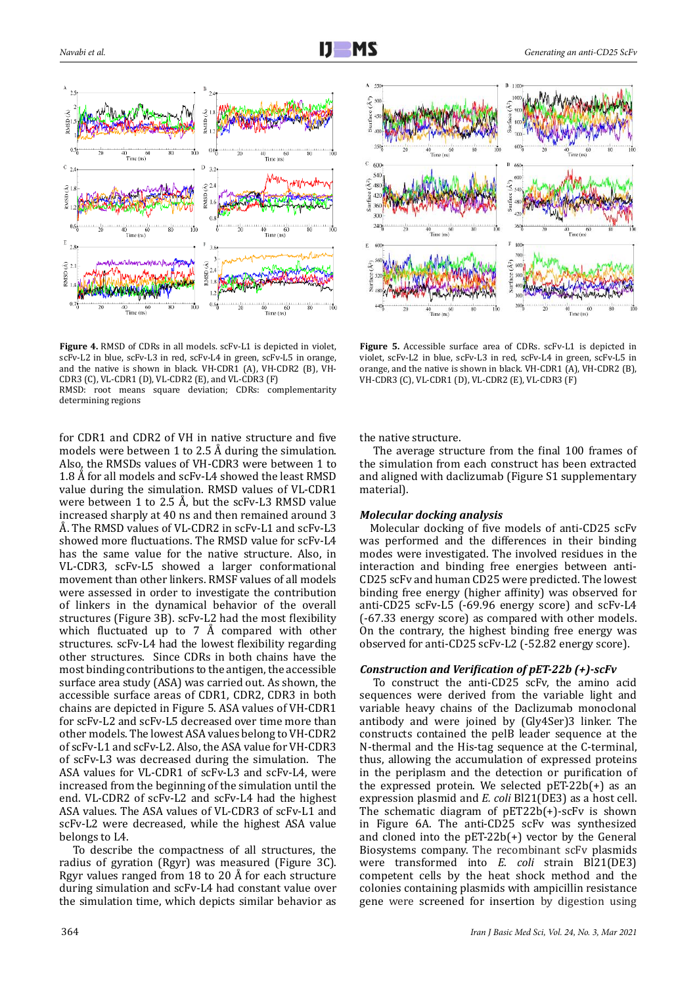

**Figure 4.** RMSD of CDRs in all models. scFv-L1 is depicted in violet, scFv-L2 in blue, scFv-L3 in red, scFv-L4 in green, scFv-L5 in orange, and the native is shown in black. VH-CDR1 (A), VH-CDR2 (B), VH-CDR3 (C), VL-CDR1 (D), VL-CDR2 (E), and VL-CDR3 (F)

RMSD: root means square deviation; CDRs: complementarity determining regions

for CDR1 and CDR2 of VH in native structure and five models were between 1 to 2.5 Å during the simulation. Also, the RMSDs values of VH-CDR3 were between 1 to 1.8 Å for all models and scFv-L4 showed the least RMSD value during the simulation. RMSD values of VL-CDR1 were between 1 to 2.5 Å, but the scFv-L3 RMSD value increased sharply at 40 ns and then remained around 3 Å. The RMSD values of VL-CDR2 in scFv-L1 and scFv-L3 showed more fluctuations. The RMSD value for scFv-L4 has the same value for the native structure. Also, in VL-CDR3, scFv-L5 showed a larger conformational movement than other linkers. RMSF values of all models were assessed in order to investigate the contribution of linkers in the dynamical behavior of the overall structures (Figure 3B). scFv-L2 had the most flexibility which fluctuated up to 7 Å compared with other structures. scFv-L4 had the lowest flexibility regarding other structures. Since CDRs in both chains have the most binding contributions to the antigen, the accessible surface area study (ASA) was carried out. As shown, the accessible surface areas of CDR1, CDR2, CDR3 in both chains are depicted in Figure 5. ASA values of VH-CDR1 for scFv-L2 and scFv-L5 decreased over time more than other models. The lowest ASA values belong to VH-CDR2 of scFv-L1 and scFv-L2. Also, the ASA value for VH-CDR3 of scFv-L3 was decreased during the simulation. The ASA values for VL-CDR1 of scFv-L3 and scFv-L4, were increased from the beginning of the simulation until the end. VL-CDR2 of scFv-L2 and scFv-L4 had the highest ASA values. The ASA values of VL-CDR3 of scFv-L1 and scFv-L2 were decreased, while the highest ASA value belongs to L4.

To describe the compactness of all structures, the radius of gyration (Rgyr) was measured (Figure 3C). Rgyr values ranged from 18 to 20 Å for each structure during simulation and scFv-L4 had constant value over the simulation time, which depicts similar behavior as



**Figure 5.** Accessible surface area of CDRs. scFv-L1 is depicted in violet, scFv-L2 in blue, scFv-L3 in red, scFv-L4 in green, scFv-L5 in orange, and the native is shown in black. VH-CDR1 (A), VH-CDR2 (B), VH-CDR3 (C), VL-CDR1 (D), VL-CDR2 (E), VL-CDR3 (F)

the native structure.

The average structure from the final 100 frames of the simulation from each construct has been extracted and aligned with daclizumab (Figure S1 supplementary material).

#### *Molecular docking analysis*

Molecular docking of five models of anti-CD25 scFv was performed and the differences in their binding modes were investigated. The involved residues in the interaction and binding free energies between anti-CD25 scFv and human CD25 were predicted. The lowest binding free energy (higher affinity) was observed for anti-CD25 scFv-L5 (-69.96 energy score) and scFv-L4 (-67.33 energy score) as compared with other models. On the contrary, the highest binding free energy was observed for anti-CD25 scFv-L2 (-52.82 energy score).

#### *Construction and Verification of pET-22b (+)-scFv*

To construct the anti-CD25 scFv, the amino acid sequences were derived from the variable light and variable heavy chains of the Daclizumab monoclonal antibody and were joined by (Gly4Ser)3 linker. The constructs contained the pelB leader sequence at the N-thermal and the His-tag sequence at the C-terminal, thus, allowing the accumulation of expressed proteins in the periplasm and the detection or purification of the expressed protein. We selected  $pET-22b(+)$  as an expression plasmid and *E. coli* Bl21(DE3) as a host cell. The schematic diagram of pET22b(+)-scFv is shown in Figure 6A. The anti-CD25 scFv was synthesized and cloned into the pET-22b(+) vector by the General Biosystems company. The recombinant scFv plasmids were transformed into *E. coli* strain Bl21(DE3) competent cells by the heat shock method and the colonies containing plasmids with ampicillin resistance gene were screened for insertion by digestion using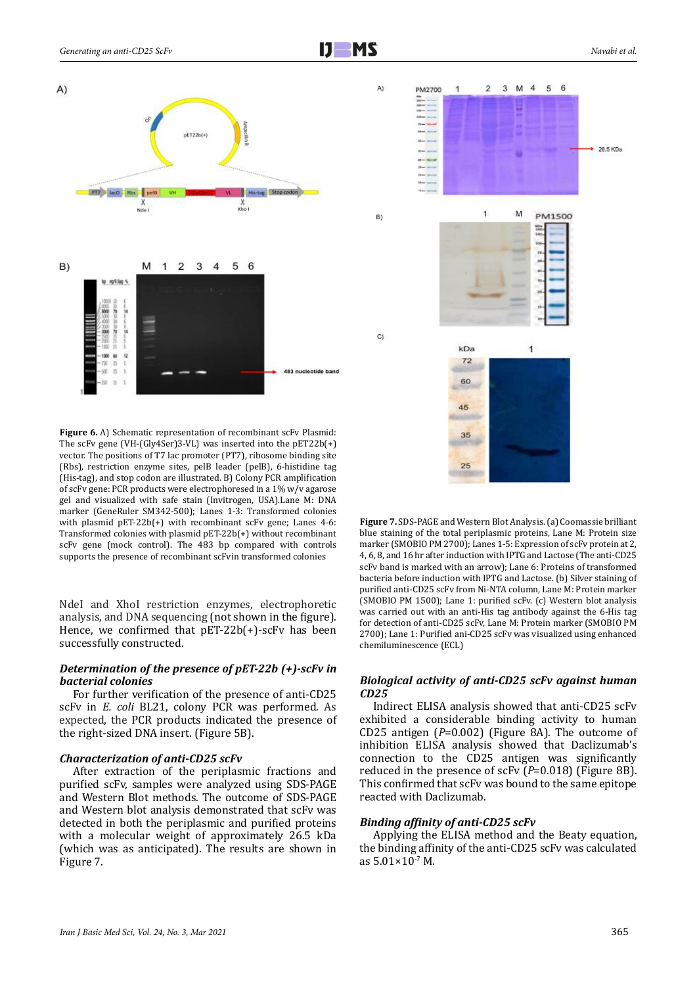

**Figure 6.** A) Schematic representation of recombinant scFv Plasmid: The scFv gene (VH-(Gly4Ser)3-VL) was inserted into the pET22b(+) vector. The positions of T7 lac promoter (PT7), ribosome binding site (Rbs), restriction enzyme sites, pelB leader (pelB), 6-histidine tag (His-tag), and stop codon are illustrated. B) Colony PCR amplification of scFv gene: PCR products were electrophoresed in a 1% w/v agarose gel and visualized with safe stain (Invitrogen, USA).Lane M: DNA marker (GeneRuler SM342-500); Lanes 1-3: Transformed colonies with plasmid pET-22b(+) with recombinant scFv gene; Lanes 4-6: Transformed colonies with plasmid pET-22b(+) without recombinant scFv gene (mock control). The 483 bp compared with controls supports the presence of recombinant scFvin transformed colonies

NdeI and XhoI restriction enzymes, electrophoretic analysis, and DNA sequencing (not shown in the figure). Hence, we confirmed that pET-22b(+)-scFv has been successfully constructed.

#### *Determination of the presence of pET-22b (+)-scFv in bacterial colonies*

For further verification of the presence of anti-CD25 scFv in *E. coli* BL21, colony PCR was performed. As expected, the PCR products indicated the presence of the right-sized DNA insert. (Figure 5B).

#### *Characterization of anti-CD25 scFv*

After extraction of the periplasmic fractions and purified scFv, samples were analyzed using SDS-PAGE and Western Blot methods. The outcome of SDS-PAGE and Western blot analysis demonstrated that scFv was detected in both the periplasmic and purified proteins with a molecular weight of approximately 26.5 kDa (which was as anticipated). The results are shown in Figure 7.



**Figure 7.** SDS-PAGE and Western Blot Analysis. (a) Coomassie brilliant blue staining of the total periplasmic proteins, Lane M: Protein size marker (SMOBIO PM 2700); Lanes 1-5: Expression of scFv protein at 2, 4, 6, 8, and 16 hr after induction with IPTG and Lactose (The anti-CD25 scFv band is marked with an arrow); Lane 6: Proteins of transformed bacteria before induction with IPTG and Lactose. (b) Silver staining of purified anti-CD25 scFv from Ni-NTA column, Lane M: Protein marker (SMOBIO PM 1500); Lane 1: purified scFv. (c) Western blot analysis was carried out with an anti-His tag antibody against the 6-His tag for detection of anti-CD25 scFv, Lane M: Protein marker (SMOBIO PM 2700); Lane 1: Purified ani-CD25 scFv was visualized using enhanced chemiluminescence (ECL)

#### *Biological activity of anti-CD25 scFv against human CD25*

Indirect ELISA analysis showed that anti-CD25 scFv exhibited a considerable binding activity to human CD25 antigen (*P*=0.002) (Figure 8A). The outcome of inhibition ELISA analysis showed that Daclizumab's connection to the CD25 antigen was significantly reduced in the presence of scFv (*P*=0.018) (Figure 8B). This confirmed that scFv was bound to the same epitope reacted with Daclizumab.

#### *Binding affinity of anti-CD25 scFv*

Applying the ELISA method and the Beaty equation, the binding affinity of the anti-CD25 scFv was calculated as 5.01×10-7 M.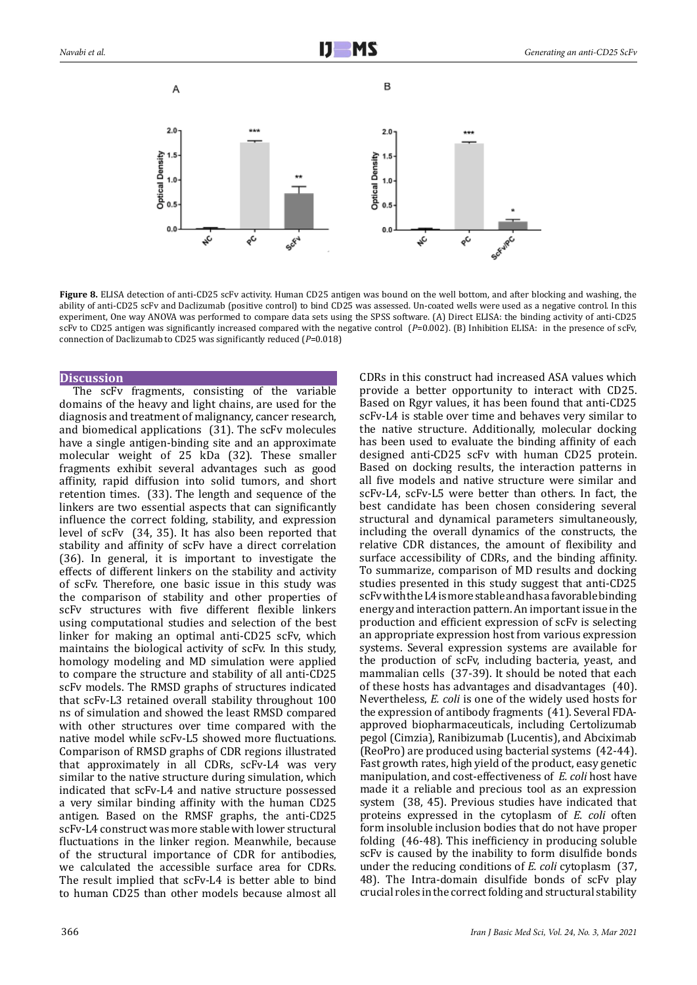

**Figure 8.** ELISA detection of anti-CD25 scFv activity. Human CD25 antigen was bound on the well bottom, and after blocking and washing, the ability of anti-CD25 scFv and Daclizumab (positive control) to bind CD25 was assessed. Un-coated wells were used as a negative control. In this experiment, One way ANOVA was performed to compare data sets using the SPSS software. (A) Direct ELISA: the binding activity of anti-CD25 scFv to CD25 antigen was significantly increased compared with the negative control (*P*=0.002). (B) Inhibition ELISA: in the presence of scFv, connection of Daclizumab to CD25 was significantly reduced (*P*=0.018)

#### **Discussion**

The scFv fragments, consisting of the variable domains of the heavy and light chains, are used for the diagnosis and treatment of malignancy, cancer research, and biomedical applications (31). The scFv molecules have a single antigen-binding site and an approximate molecular weight of 25 kDa (32). These smaller fragments exhibit several advantages such as good affinity, rapid diffusion into solid tumors, and short retention times. (33). The length and sequence of the linkers are two essential aspects that can significantly influence the correct folding, stability, and expression level of scFv (34, 35). It has also been reported that stability and affinity of scFv have a direct correlation (36). In general, it is important to investigate the effects of different linkers on the stability and activity of scFv. Therefore, one basic issue in this study was the comparison of stability and other properties of scFv structures with five different flexible linkers using computational studies and selection of the best linker for making an optimal anti-CD25 scFv, which maintains the biological activity of scFv. In this study, homology modeling and MD simulation were applied to compare the structure and stability of all anti-CD25 scFv models. The RMSD graphs of structures indicated that scFv-L3 retained overall stability throughout 100 ns of simulation and showed the least RMSD compared with other structures over time compared with the native model while scFv-L5 showed more fluctuations. Comparison of RMSD graphs of CDR regions illustrated that approximately in all CDRs, scFv-L4 was very similar to the native structure during simulation, which indicated that scFv-L4 and native structure possessed a very similar binding affinity with the human CD25 antigen. Based on the RMSF graphs, the anti-CD25 scFv-L4 construct was more stable with lower structural fluctuations in the linker region. Meanwhile, because of the structural importance of CDR for antibodies, we calculated the accessible surface area for CDRs. The result implied that scFv-L4 is better able to bind to human CD25 than other models because almost all

CDRs in this construct had increased ASA values which provide a better opportunity to interact with CD25. Based on Rgyr values, it has been found that anti-CD25 scFv-L4 is stable over time and behaves very similar to the native structure. Additionally, molecular docking has been used to evaluate the binding affinity of each designed anti-CD25 scFv with human CD25 protein. Based on docking results, the interaction patterns in all five models and native structure were similar and scFv-L4, scFv-L5 were better than others. In fact, the best candidate has been chosen considering several structural and dynamical parameters simultaneously, including the overall dynamics of the constructs, the relative CDR distances, the amount of flexibility and surface accessibility of CDRs, and the binding affinity. To summarize, comparison of MD results and docking studies presented in this study suggest that anti-CD25 scFv with the L4 is more stable and has a favorable binding energy and interaction pattern. An important issue in the production and efficient expression of scFv is selecting an appropriate expression host from various expression systems. Several expression systems are available for the production of scFv, including bacteria, yeast, and mammalian cells (37-39). It should be noted that each of these hosts has advantages and disadvantages (40). Nevertheless, *E. coli* is one of the widely used hosts for the expression of antibody fragments (41). Several FDAapproved biopharmaceuticals, including Certolizumab pegol (Cimzia), Ranibizumab (Lucentis), and Abciximab (ReoPro) are produced using bacterial systems (42-44). Fast growth rates, high yield of the product, easy genetic manipulation, and cost-effectiveness of *E. coli* host have made it a reliable and precious tool as an expression system (38, 45). Previous studies have indicated that proteins expressed in the cytoplasm of *E. coli* often form insoluble inclusion bodies that do not have proper folding (46-48). This inefficiency in producing soluble scFv is caused by the inability to form disulfide bonds under the reducing conditions of *E. coli* cytoplasm (37, 48). The Intra-domain disulfide bonds of scFv play crucial roles in the correct folding and structural stability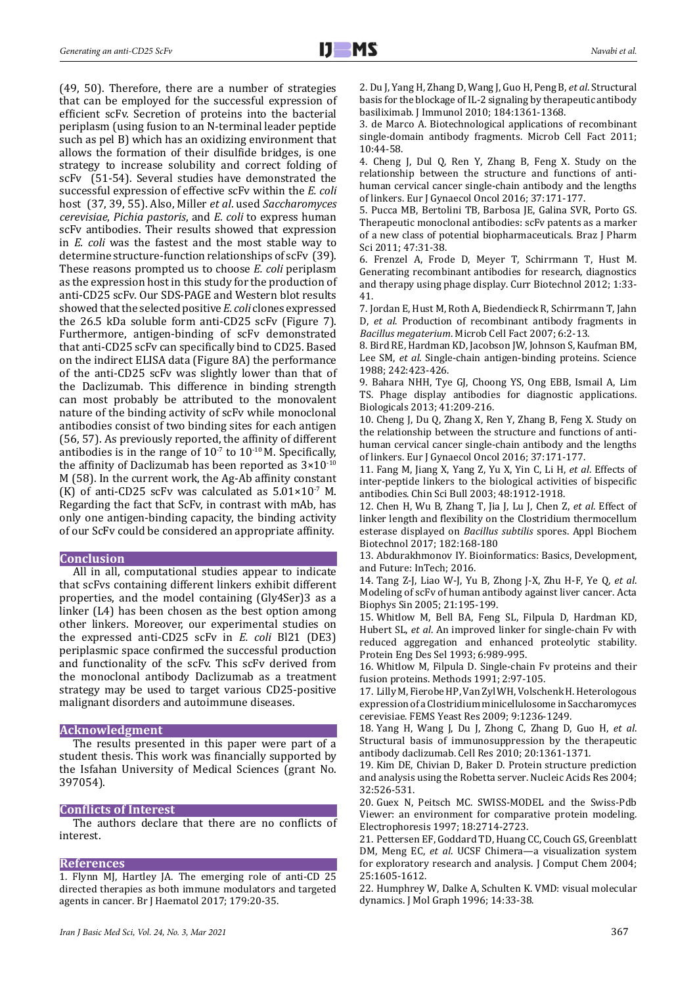(49, 50). Therefore, there are a number of strategies that can be employed for the successful expression of efficient scFv. Secretion of proteins into the bacterial periplasm (using fusion to an N-terminal leader peptide such as pel B) which has an oxidizing environment that allows the formation of their disulfide bridges, is one strategy to increase solubility and correct folding of scFv (51-54). Several studies have demonstrated the successful expression of effective scFv within the *E. coli* host (37, 39, 55). Also, Miller *et al*. used *Saccharomyces cerevisiae*, *Pichia pastoris*, and *E. coli* to express human scFv antibodies. Their results showed that expression in *E. coli* was the fastest and the most stable way to determine structure-function relationships of scFv (39). These reasons prompted us to choose *E. coli* periplasm as the expression host in this study for the production of anti-CD25 scFv. Our SDS-PAGE and Western blot results showed that the selected positive *E. coli* clones expressed the 26.5 kDa soluble form anti-CD25 scFv (Figure 7). Furthermore, antigen-binding of scFv demonstrated that anti-CD25 scFv can specifically bind to CD25. Based on the indirect ELISA data (Figure 8A) the performance of the anti-CD25 scFv was slightly lower than that of the Daclizumab. This difference in binding strength can most probably be attributed to the monovalent nature of the binding activity of scFv while monoclonal antibodies consist of two binding sites for each antigen (56, 57). As previously reported, the affinity of different antibodies is in the range of  $10^{-7}$  to  $10^{-10}$  M. Specifically, the affinity of Daclizumab has been reported as  $3 \times 10^{-10}$ M (58). In the current work, the Ag-Ab affinity constant (K) of anti-CD25 scFv was calculated as  $5.01 \times 10^{-7}$  M. Regarding the fact that ScFv, in contrast with mAb, has only one antigen-binding capacity, the binding activity of our ScFv could be considered an appropriate affinity.

#### **Conclusion**

All in all, computational studies appear to indicate that scFvs containing different linkers exhibit different properties, and the model containing (Gly4Ser)3 as a linker (L4) has been chosen as the best option among other linkers. Moreover, our experimental studies on the expressed anti-CD25 scFv in *E. coli* Bl21 (DE3) periplasmic space confirmed the successful production and functionality of the scFv. This scFv derived from the monoclonal antibody Daclizumab as a treatment strategy may be used to target various CD25-positive malignant disorders and autoimmune diseases.

#### **Acknowledgment**

The results presented in this paper were part of a student thesis. This work was financially supported by the Isfahan University of Medical Sciences (grant No. 397054).

#### **Conflicts of Interest**

The authors declare that there are no conflicts of interest.

#### **References**

1. Flynn MJ, Hartley JA. The emerging role of anti-CD 25 directed therapies as both immune modulators and targeted agents in cancer. Br J Haematol 2017; 179:20-35.

2. Du J, Yang H, Zhang D, Wang J, Guo H, Peng B, *et al*. Structural basis for the blockage of IL-2 signaling by therapeutic antibody basiliximab. J Immunol 2010; 184:1361-1368.

3. de Marco A. Biotechnological applications of recombinant single-domain antibody fragments. Microb Cell Fact 2011; 10:44-58.

4. Cheng J, Dul Q, Ren Y, Zhang B, Feng X. Study on the relationship between the structure and functions of antihuman cervical cancer single-chain antibody and the lengths of linkers. Eur J Gynaecol Oncol 2016; 37:171-177.

5. Pucca MB, Bertolini TB, Barbosa JE, Galina SVR, Porto GS. Therapeutic monoclonal antibodies: scFv patents as a marker of a new class of potential biopharmaceuticals. Braz J Pharm Sci 2011; 47:31-38.

6. Frenzel A, Frode D, Meyer T, Schirrmann T, Hust M. Generating recombinant antibodies for research, diagnostics and therapy using phage display. Curr Biotechnol 2012; 1:33- 41.

7. Jordan E, Hust M, Roth A, Biedendieck R, Schirrmann T, Jahn D, *et al*. Production of recombinant antibody fragments in *Bacillus megaterium*. Microb Cell Fact 2007; 6:2-13.

8. Bird RE, Hardman KD, Jacobson JW, Johnson S, Kaufman BM, Lee SM, *et al*. Single-chain antigen-binding proteins. Science 1988; 242:423-426.

9. Bahara NHH, Tye GJ, Choong YS, Ong EBB, Ismail A, Lim TS. Phage display antibodies for diagnostic applications. Biologicals 2013; 41:209-216.

10. Cheng J, Du Q, Zhang X, Ren Y, Zhang B, Feng X. Study on the relationship between the structure and functions of antihuman cervical cancer single-chain antibody and the lengths of linkers. Eur J Gynaecol Oncol 2016; 37:171-177.

11. Fang M, Jiang X, Yang Z, Yu X, Yin C, Li H, *et al*. Effects of inter-peptide linkers to the biological activities of bispecific antibodies. Chin Sci Bull 2003; 48:1912-1918.

12. Chen H, Wu B, Zhang T, Jia J, Lu J, Chen Z, *et al*. Effect of linker length and flexibility on the Clostridium thermocellum esterase displayed on *Bacillus subtilis* spores. Appl Biochem Biotechnol 2017; 182:168-180

13. Abdurakhmonov IY. Bioinformatics: Basics, Development, and Future: InTech; 2016.

14. Tang Z-J, Liao W-J, Yu B, Zhong J-X, Zhu H-F, Ye Q, *et al*. Modeling of scFv of human antibody against liver cancer. Acta Biophys Sin 2005; 21:195-199.

15. Whitlow M, Bell BA, Feng SL, Filpula D, Hardman KD, Hubert SL, *et al*. An improved linker for single-chain Fv with reduced aggregation and enhanced proteolytic stability. Protein Eng Des Sel 1993; 6:989-995.

16. Whitlow M, Filpula D. Single-chain Fv proteins and their fusion proteins. Methods 1991; 2:97-105.

17. Lilly M, Fierobe HP, Van Zyl WH, Volschenk H. Heterologous expression of a Clostridium minicellulosome in Saccharomyces cerevisiae. FEMS Yeast Res 2009; 9:1236-1249.

18. Yang H, Wang J, Du J, Zhong C, Zhang D, Guo H, *et al*. Structural basis of immunosuppression by the therapeutic antibody daclizumab. Cell Res 2010; 20:1361-1371.

19. Kim DE, Chivian D, Baker D. Protein structure prediction and analysis using the Robetta server. Nucleic Acids Res 2004; 32:526-531.

20. Guex N, Peitsch MC. SWISS-MODEL and the Swiss-Pdb Viewer: an environment for comparative protein modeling. Electrophoresis 1997; 18:2714-2723.

21. Pettersen EF, Goddard TD, Huang CC, Couch GS, Greenblatt DM, Meng EC, *et al*. UCSF Chimera—a visualization system for exploratory research and analysis. J Comput Chem 2004; 25:1605-1612.

22. Humphrey W, Dalke A, Schulten K. VMD: visual molecular dynamics. J Mol Graph 1996; 14:33-38.